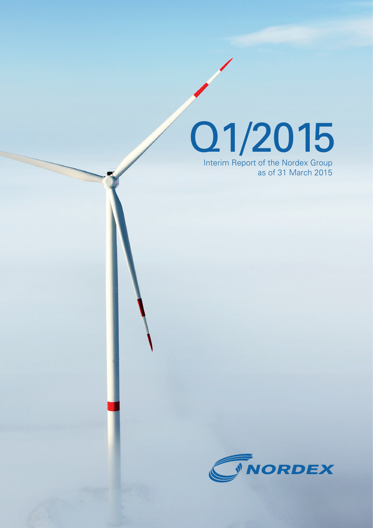Q1/2015

Interim Report of the Nordex Group as of 31 March 2015

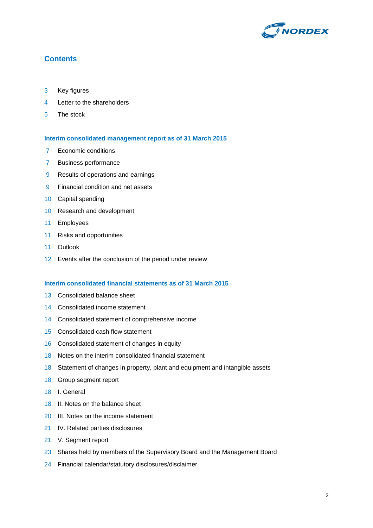

### **Contents**

- Key figures
- Letter to the shareholders
- The stock

#### **Interim consolidated management report as of 31 March 2015**

- 7 Economic conditions
- Business performance
- Results of operations and earnings
- Financial condition and net assets
- Capital spending
- Research and development
- Employees
- Risks and opportunities
- Outlook
- Events after the conclusion of the period under review

#### **Interim consolidated financial statements as of 31 March 2015**

- Consolidated balance sheet
- Consolidated income statement
- Consolidated statement of comprehensive income
- Consolidated cash flow statement
- Consolidated statement of changes in equity
- Notes on the interim consolidated financial statement
- Statement of changes in property, plant and equipment and intangible assets
- Group segment report
- I. General
- II. Notes on the balance sheet
- III. Notes on the income statement
- IV. Related parties disclosures
- V. Segment report
- 23 Shares held by members of the Supervisory Board and the Management Board
- Financial calendar/statutory disclosures/disclaimer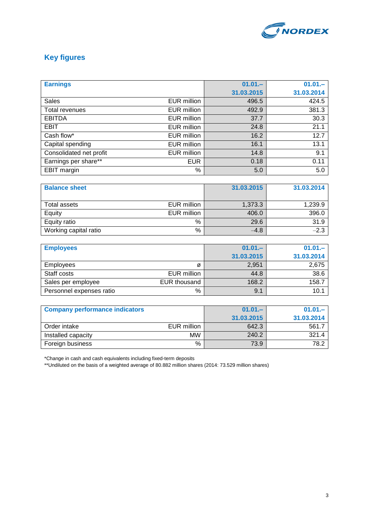

# **Key figures**

| <b>Earnings</b>         |                    | $01.01 -$  | $01.01 -$  |
|-------------------------|--------------------|------------|------------|
|                         |                    | 31.03.2015 | 31.03.2014 |
| <b>Sales</b>            | <b>EUR million</b> | 496.5      | 424.5      |
| Total revenues          | <b>EUR million</b> | 492.9      | 381.3      |
| <b>EBITDA</b>           | <b>EUR million</b> | 37.7       | 30.3       |
| <b>EBIT</b>             | <b>EUR million</b> | 24.8       | 21.1       |
| Cash flow*              | <b>EUR million</b> | 16.2       | 12.7       |
| Capital spending        | <b>EUR million</b> | 16.1       | 13.1       |
| Consolidated net profit | <b>EUR million</b> | 14.8       | 9.1        |
| Earnings per share**    | <b>EUR</b>         | 0.18       | 0.11       |
| <b>EBIT</b> margin      | %                  | 5.0        | 5.0        |

| <b>Balance sheet</b>  |             | 31.03.2015 | 31.03.2014 |
|-----------------------|-------------|------------|------------|
|                       |             |            |            |
| Total assets          | EUR million | 1,373.3    | 1,239.9    |
| Equity                | EUR million | 406.0      | 396.0      |
| Equity ratio          | $\%$        | 29.6       | 31.9       |
| Working capital ratio | $\%$        | $-4.8$     | $-2.3$     |

| <b>Employees</b>         |              | $01.01 -$  | $01.01 -$  |
|--------------------------|--------------|------------|------------|
|                          |              | 31.03.2015 | 31.03.2014 |
| <b>Employees</b>         | Ø            | 2,951      | 2,675      |
| Staff costs              | EUR million  | 44.8       | 38.6       |
| Sales per employee       | EUR thousand | 168.2      | 158.7      |
| Personnel expenses ratio | %            | 9.1        | 10.1       |

| <b>Company performance indicators</b> |             | $01.01 -$  | $01.01 -$  |
|---------------------------------------|-------------|------------|------------|
|                                       |             | 31.03.2015 | 31.03.2014 |
| Order intake                          | EUR million | 642.3      | 561.7      |
| Installed capacity                    | <b>MW</b>   | 240.2      | 321.4      |
| Foreign business                      | %           | 73.9       | 78.2       |

\*Change in cash and cash equivalents including fixed-term deposits

\*\*Undiluted on the basis of a weighted average of 80.882 million shares (2014: 73.529 million shares)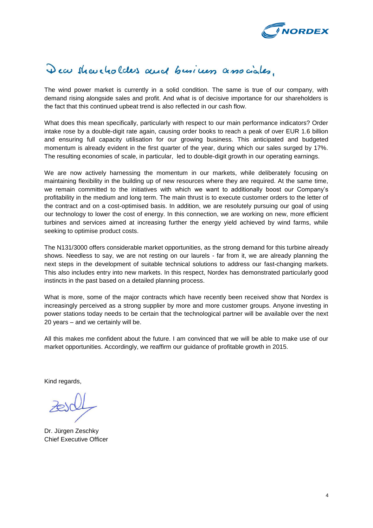

# Dear shareholders and business associates.

The wind power market is currently in a solid condition. The same is true of our company, with demand rising alongside sales and profit. And what is of decisive importance for our shareholders is the fact that this continued upbeat trend is also reflected in our cash flow.

What does this mean specifically, particularly with respect to our main performance indicators? Order intake rose by a double-digit rate again, causing order books to reach a peak of over EUR 1.6 billion and ensuring full capacity utilisation for our growing business. This anticipated and budgeted momentum is already evident in the first quarter of the year, during which our sales surged by 17%. The resulting economies of scale, in particular, led to double-digit growth in our operating earnings.

We are now actively harnessing the momentum in our markets, while deliberately focusing on maintaining flexibility in the building up of new resources where they are required. At the same time, we remain committed to the initiatives with which we want to additionally boost our Company's profitability in the medium and long term. The main thrust is to execute customer orders to the letter of the contract and on a cost-optimised basis. In addition, we are resolutely pursuing our goal of using our technology to lower the cost of energy. In this connection, we are working on new, more efficient turbines and services aimed at increasing further the energy yield achieved by wind farms, while seeking to optimise product costs.

The N131/3000 offers considerable market opportunities, as the strong demand for this turbine already shows. Needless to say, we are not resting on our laurels - far from it, we are already planning the next steps in the development of suitable technical solutions to address our fast-changing markets. This also includes entry into new markets. In this respect, Nordex has demonstrated particularly good instincts in the past based on a detailed planning process.

What is more, some of the major contracts which have recently been received show that Nordex is increasingly perceived as a strong supplier by more and more customer groups. Anyone investing in power stations today needs to be certain that the technological partner will be available over the next 20 years – and we certainly will be.

All this makes me confident about the future. I am convinced that we will be able to make use of our market opportunities. Accordingly, we reaffirm our guidance of profitable growth in 2015.

Kind regards,

Dr. Jürgen Zeschky Chief Executive Officer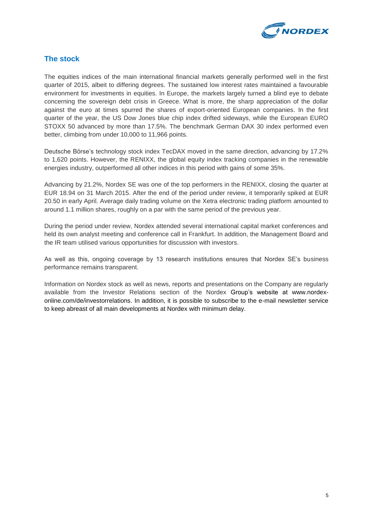

## **The stock**

The equities indices of the main international financial markets generally performed well in the first quarter of 2015, albeit to differing degrees. The sustained low interest rates maintained a favourable environment for investments in equities. In Europe, the markets largely turned a blind eye to debate concerning the sovereign debt crisis in Greece. What is more, the sharp appreciation of the dollar against the euro at times spurred the shares of export-oriented European companies. In the first quarter of the year, the US Dow Jones blue chip index drifted sideways, while the European EURO STOXX 50 advanced by more than 17.5%. The benchmark German DAX 30 index performed even better, climbing from under 10,000 to 11,966 points.

Deutsche Börse's technology stock index TecDAX moved in the same direction, advancing by 17.2% to 1,620 points. However, the RENIXX, the global equity index tracking companies in the renewable energies industry, outperformed all other indices in this period with gains of some 35%.

Advancing by 21.2%, Nordex SE was one of the top performers in the RENIXX, closing the quarter at EUR 18.94 on 31 March 2015. After the end of the period under review, it temporarily spiked at EUR 20.50 in early April. Average daily trading volume on the Xetra electronic trading platform amounted to around 1.1 million shares, roughly on a par with the same period of the previous year.

During the period under review, Nordex attended several international capital market conferences and held its own analyst meeting and conference call in Frankfurt. In addition, the Management Board and the IR team utilised various opportunities for discussion with investors.

As well as this, ongoing coverage by 13 research institutions ensures that Nordex SE's business performance remains transparent.

Information on Nordex stock as well as news, reports and presentations on the Company are regularly available from the Investor Relations section of the Nordex Group's website at [www.nordex](http://www.nordex-online.com/de/investorrelations)[online.com/de/investorrelations.](http://www.nordex-online.com/de/investorrelations) In addition, it is possible to subscribe to the e-mail newsletter service to keep abreast of all main developments at Nordex with minimum delay.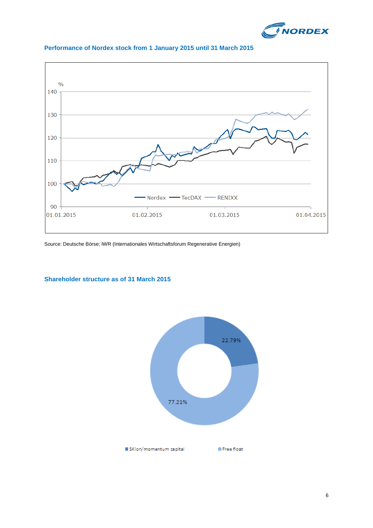



### **Performance of Nordex stock from 1 January 2015 until 31 March 2015**

Source: Deutsche Börse; IWR (Internationales Wirtschaftsforum Regenerative Energien)

### **Shareholder structure as of 31 March 2015**

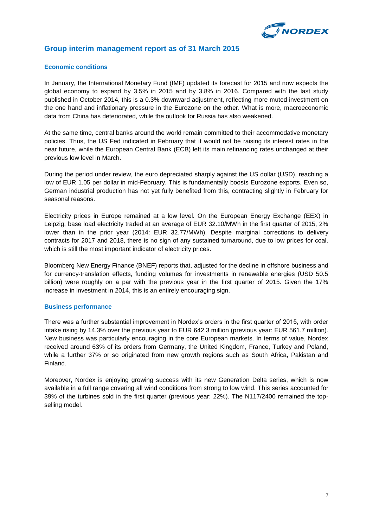

### **Group interim management report as of 31 March 2015**

#### **Economic conditions**

In January, the International Monetary Fund (IMF) updated its forecast for 2015 and now expects the global economy to expand by 3.5% in 2015 and by 3.8% in 2016. Compared with the last study published in October 2014, this is a 0.3% downward adjustment, reflecting more muted investment on the one hand and inflationary pressure in the Eurozone on the other. What is more, macroeconomic data from China has deteriorated, while the outlook for Russia has also weakened.

At the same time, central banks around the world remain committed to their accommodative monetary policies. Thus, the US Fed indicated in February that it would not be raising its interest rates in the near future, while the European Central Bank (ECB) left its main refinancing rates unchanged at their previous low level in March.

During the period under review, the euro depreciated sharply against the US dollar (USD), reaching a low of EUR 1.05 per dollar in mid-February. This is fundamentally boosts Eurozone exports. Even so, German industrial production has not yet fully benefited from this, contracting slightly in February for seasonal reasons.

Electricity prices in Europe remained at a low level. On the European Energy Exchange (EEX) in Leipzig, base load electricity traded at an average of EUR 32.10/MWh in the first quarter of 2015, 2% lower than in the prior year (2014: EUR 32.77/MWh). Despite marginal corrections to delivery contracts for 2017 and 2018, there is no sign of any sustained turnaround, due to low prices for coal, which is still the most important indicator of electricity prices.

Bloomberg New Energy Finance (BNEF) reports that, adjusted for the decline in offshore business and for currency-translation effects, funding volumes for investments in renewable energies (USD 50.5 billion) were roughly on a par with the previous year in the first quarter of 2015. Given the 17% increase in investment in 2014, this is an entirely encouraging sign.

#### **Business performance**

There was a further substantial improvement in Nordex's orders in the first quarter of 2015, with order intake rising by 14.3% over the previous year to EUR 642.3 million (previous year: EUR 561.7 million). New business was particularly encouraging in the core European markets. In terms of value, Nordex received around 63% of its orders from Germany, the United Kingdom, France, Turkey and Poland, while a further 37% or so originated from new growth regions such as South Africa, Pakistan and Finland.

Moreover, Nordex is enjoying growing success with its new Generation Delta series, which is now available in a full range covering all wind conditions from strong to low wind. This series accounted for 39% of the turbines sold in the first quarter (previous year: 22%). The N117/2400 remained the topselling model.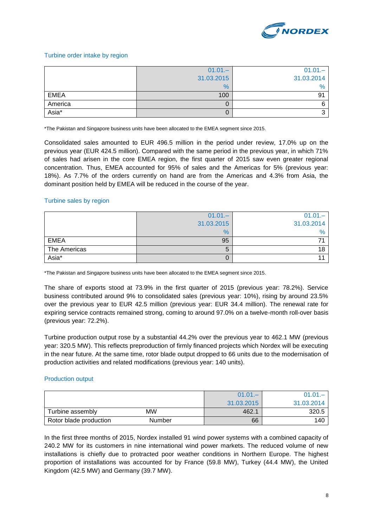

#### Turbine order intake by region

|             | $01.01 -$     | $01.01 -$  |
|-------------|---------------|------------|
|             | 31.03.2015    | 31.03.2014 |
|             | $\frac{9}{6}$ | $\%$       |
| <b>EMEA</b> | 100           | 91         |
| America     | O             | 6          |
| Asia*       | 0             |            |

\*The Pakistan and Singapore business units have been allocated to the EMEA segment since 2015.

Consolidated sales amounted to EUR 496.5 million in the period under review, 17.0% up on the previous year (EUR 424.5 million). Compared with the same period in the previous year, in which 71% of sales had arisen in the core EMEA region, the first quarter of 2015 saw even greater regional concentration. Thus, EMEA accounted for 95% of sales and the Americas for 5% (previous year: 18%). As 7.7% of the orders currently on hand are from the Americas and 4.3% from Asia, the dominant position held by EMEA will be reduced in the course of the year.

#### Turbine sales by region

|              | $01.01 -$  | $01.01 -$  |
|--------------|------------|------------|
|              | 31.03.2015 | 31.03.2014 |
|              | %          | $\%$       |
| <b>EMEA</b>  | 95         |            |
| The Americas | b          | 18         |
| Asia*        |            |            |

\*The Pakistan and Singapore business units have been allocated to the EMEA segment since 2015.

The share of exports stood at 73.9% in the first quarter of 2015 (previous year: 78.2%). Service business contributed around 9% to consolidated sales (previous year: 10%), rising by around 23.5% over the previous year to EUR 42.5 million (previous year: EUR 34.4 million). The renewal rate for expiring service contracts remained strong, coming to around 97.0% on a twelve-month roll-over basis (previous year: 72.2%).

Turbine production output rose by a substantial 44.2% over the previous year to 462.1 MW (previous year: 320.5 MW). This reflects preproduction of firmly financed projects which Nordex will be executing in the near future. At the same time, rotor blade output dropped to 66 units due to the modernisation of production activities and related modifications (previous year: 140 units).

#### Production output

|                        |           | $01.01 -$  | 01.01      |
|------------------------|-----------|------------|------------|
|                        |           | 31.03.2015 | 31.03.2014 |
| Turbine assembly       | <b>MW</b> | 462.1      | 320.5      |
| Rotor blade production | Number    | 66         | 140        |

In the first three months of 2015, Nordex installed 91 wind power systems with a combined capacity of 240.2 MW for its customers in nine international wind power markets. The reduced volume of new installations is chiefly due to protracted poor weather conditions in Northern Europe. The highest proportion of installations was accounted for by France (59.8 MW), Turkey (44.4 MW), the United Kingdom (42.5 MW) and Germany (39.7 MW).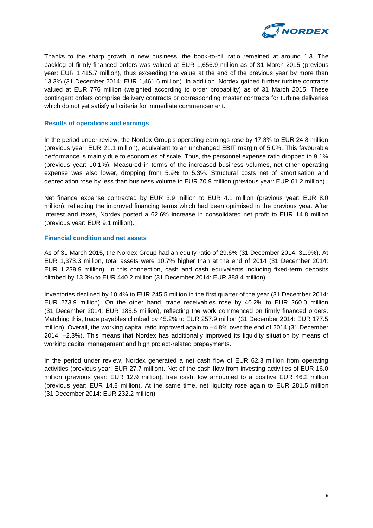

Thanks to the sharp growth in new business, the book-to-bill ratio remained at around 1.3. The backlog of firmly financed orders was valued at EUR 1,656.9 million as of 31 March 2015 (previous year: EUR 1,415.7 million), thus exceeding the value at the end of the previous year by more than 13.3% (31 December 2014: EUR 1,461.6 million). In addition, Nordex gained further turbine contracts valued at EUR 776 million (weighted according to order probability) as of 31 March 2015. These contingent orders comprise delivery contracts or corresponding master contracts for turbine deliveries which do not yet satisfy all criteria for immediate commencement.

#### **Results of operations and earnings**

In the period under review, the Nordex Group's operating earnings rose by 17.3% to EUR 24.8 million (previous year: EUR 21.1 million), equivalent to an unchanged EBIT margin of 5.0%. This favourable performance is mainly due to economies of scale. Thus, the personnel expense ratio dropped to 9.1% (previous year: 10.1%). Measured in terms of the increased business volumes, net other operating expense was also lower, dropping from 5.9% to 5.3%. Structural costs net of amortisation and depreciation rose by less than business volume to EUR 70.9 million (previous year: EUR 61.2 million).

Net finance expense contracted by EUR 3.9 million to EUR 4.1 million (previous year: EUR 8.0 million), reflecting the improved financing terms which had been optimised in the previous year. After interest and taxes, Nordex posted a 62.6% increase in consolidated net profit to EUR 14.8 million (previous year: EUR 9.1 million).

#### **Financial condition and net assets**

As of 31 March 2015, the Nordex Group had an equity ratio of 29.6% (31 December 2014: 31.9%). At EUR 1,373.3 million, total assets were 10.7% higher than at the end of 2014 (31 December 2014: EUR 1,239.9 million). In this connection, cash and cash equivalents including fixed-term deposits climbed by 13.3% to EUR 440.2 million (31 December 2014: EUR 388.4 million).

Inventories declined by 10.4% to EUR 245.5 million in the first quarter of the year (31 December 2014: EUR 273.9 million). On the other hand, trade receivables rose by 40.2% to EUR 260.0 million (31 December 2014: EUR 185.5 million), reflecting the work commenced on firmly financed orders. Matching this, trade payables climbed by 45.2% to EUR 257.9 million (31 December 2014: EUR 177.5 million). Overall, the working capital ratio improved again to –4.8% over the end of 2014 (31 December 2014: –2.3%). This means that Nordex has additionally improved its liquidity situation by means of working capital management and high project-related prepayments.

In the period under review, Nordex generated a net cash flow of EUR 62.3 million from operating activities (previous year: EUR 27.7 million). Net of the cash flow from investing activities of EUR 16.0 million (previous year: EUR 12.9 million), free cash flow amounted to a positive EUR 46.2 million (previous year: EUR 14.8 million). At the same time, net liquidity rose again to EUR 281.5 million (31 December 2014: EUR 232.2 million).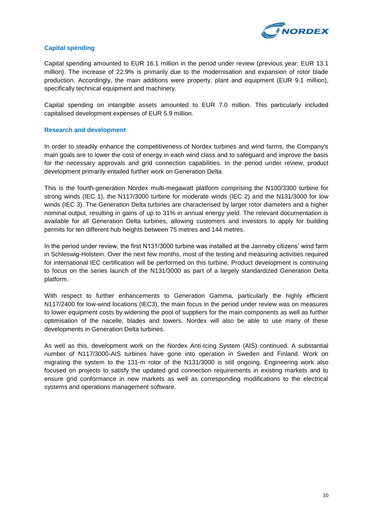

#### **Capital spending**

Capital spending amounted to EUR 16.1 million in the period under review (previous year: EUR 13.1 million). The increase of 22.9% is primarily due to the modernisation and expansion of rotor blade production. Accordingly, the main additions were property, plant and equipment (EUR 9.1 million), specifically technical equipment and machinery.

Capital spending on intangible assets amounted to EUR 7.0 million. This particularly included capitalised development expenses of EUR 5.9 million.

#### **Research and development**

In order to steadily enhance the competitiveness of Nordex turbines and wind farms, the Company's main goals are to lower the cost of energy in each wind class and to safeguard and improve the basis for the necessary approvals and grid connection capabilities. In the period under review, product development primarily entailed further work on Generation Delta.

This is the fourth-generation Nordex multi-megawatt platform comprising the N100/3300 turbine for strong winds (IEC 1), the N117/3000 turbine for moderate winds (IEC 2) and the N131/3000 for low winds (IEC 3). The Generation Delta turbines are characterised by larger rotor diameters and a higher nominal output, resulting in gains of up to 31% in annual energy yield. The relevant documentation is available for all Generation Delta turbines, allowing customers and investors to apply for building permits for ten different hub heights between 75 metres and 144 metres.

In the period under review, the first N131/3000 turbine was installed at the Janneby citizens' wind farm in Schleswig-Holstein. Over the next few months, most of the testing and measuring activities required for international IEC certification will be performed on this turbine. Product development is continuing to focus on the series launch of the N131/3000 as part of a largely standardized Generation Delta platform.

With respect to further enhancements to Generation Gamma, particularly the highly efficient N117/2400 for low-wind locations (IEC3), the main focus in the period under review was on measures to lower equipment costs by widening the pool of suppliers for the main components as well as further optimisation of the nacelle, blades and towers. Nordex will also be able to use many of these developments in Generation Delta turbines.

As well as this, development work on the Nordex Anti-Icing System (AIS) continued. A substantial number of N117/3000-AIS turbines have gone into operation in Sweden and Finland. Work on migrating the system to the 131-m rotor of the N131/3000 is still ongoing. Engineering work also focused on projects to satisfy the updated grid connection requirements in existing markets and to ensure grid conformance in new markets as well as corresponding modifications to the electrical systems and operations management software.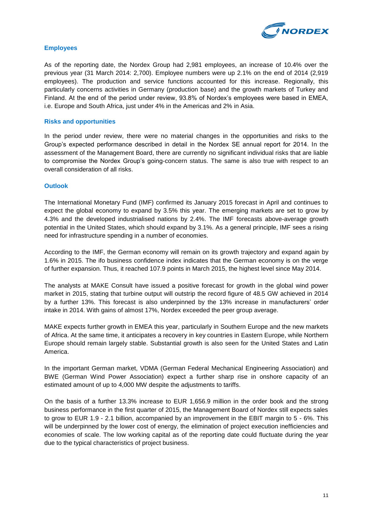

#### **Employees**

As of the reporting date, the Nordex Group had 2,981 employees, an increase of 10.4% over the previous year (31 March 2014: 2,700). Employee numbers were up 2.1% on the end of 2014 (2,919 employees). The production and service functions accounted for this increase. Regionally, this particularly concerns activities in Germany (production base) and the growth markets of Turkey and Finland. At the end of the period under review, 93.8% of Nordex's employees were based in EMEA, i.e. Europe and South Africa, just under 4% in the Americas and 2% in Asia.

#### **Risks and opportunities**

In the period under review, there were no material changes in the opportunities and risks to the Group's expected performance described in detail in the Nordex SE annual report for 2014. In the assessment of the Management Board, there are currently no significant individual risks that are liable to compromise the Nordex Group's going-concern status. The same is also true with respect to an overall consideration of all risks.

#### **Outlook**

The International Monetary Fund (IMF) confirmed its January 2015 forecast in April and continues to expect the global economy to expand by 3.5% this year. The emerging markets are set to grow by 4.3% and the developed industrialised nations by 2.4%. The IMF forecasts above-average growth potential in the United States, which should expand by 3.1%. As a general principle, IMF sees a rising need for infrastructure spending in a number of economies.

According to the IMF, the German economy will remain on its growth trajectory and expand again by 1.6% in 2015. The ifo business confidence index indicates that the German economy is on the verge of further expansion. Thus, it reached 107.9 points in March 2015, the highest level since May 2014.

The analysts at MAKE Consult have issued a positive forecast for growth in the global wind power market in 2015, stating that turbine output will outstrip the record figure of 48.5 GW achieved in 2014 by a further 13%. This forecast is also underpinned by the 13% increase in manufacturers' order intake in 2014. With gains of almost 17%, Nordex exceeded the peer group average.

MAKE expects further growth in EMEA this year, particularly in Southern Europe and the new markets of Africa. At the same time, it anticipates a recovery in key countries in Eastern Europe, while Northern Europe should remain largely stable. Substantial growth is also seen for the United States and Latin America.

In the important German market, VDMA (German Federal Mechanical Engineering Association) and BWE (German Wind Power Association) expect a further sharp rise in onshore capacity of an estimated amount of up to 4,000 MW despite the adjustments to tariffs.

On the basis of a further 13.3% increase to EUR 1,656.9 million in the order book and the strong business performance in the first quarter of 2015, the Management Board of Nordex still expects sales to grow to EUR 1.9 - 2.1 billion, accompanied by an improvement in the EBIT margin to 5 - 6%. This will be underpinned by the lower cost of energy, the elimination of project execution inefficiencies and economies of scale. The low working capital as of the reporting date could fluctuate during the year due to the typical characteristics of project business.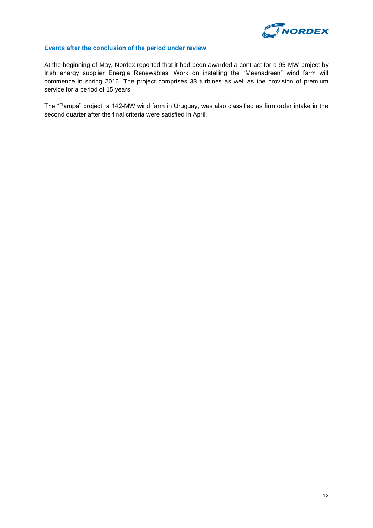

### **Events after the conclusion of the period under review**

At the beginning of May, Nordex reported that it had been awarded a contract for a 95-MW project by Irish energy supplier Energia Renewables. Work on installing the "Meenadreen" wind farm will commence in spring 2016. The project comprises 38 turbines as well as the provision of premium service for a period of 15 years.

The "Pampa" project, a 142-MW wind farm in Uruguay, was also classified as firm order intake in the second quarter after the final criteria were satisfied in April.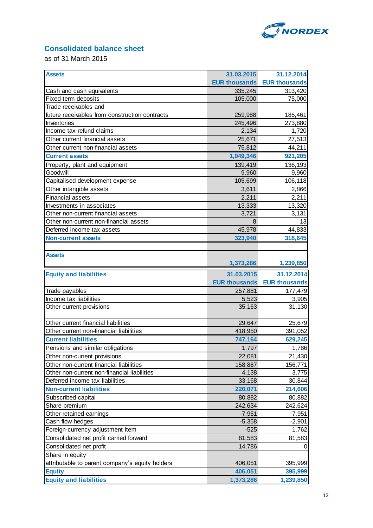

# **Consolidated balance sheet**

as of 31 March 2015

| <b>Assets</b>                                   | 31.03.2015           | 31.12.2014           |
|-------------------------------------------------|----------------------|----------------------|
|                                                 | <b>EUR thousands</b> | <b>EUR thousands</b> |
| Cash and cash equivalents                       | 335,245              | 313,420              |
| Fixed-term deposits                             | 105,000              | 75,000               |
| Trade receivables and                           |                      |                      |
| future receivables from construction contracts  | 259,988              | 185,461              |
| Inventories                                     | 245,496              | 273,880              |
| Income tax refund claims                        | 2,134                | 1,720                |
| Other current financial assets                  | 25,671               | 27,513               |
| Other current non-financial assets              | 75,812               | 44,211               |
| <b>Current assets</b>                           | 1,049,346            | 921,205              |
| Property, plant and equipment                   | 139,419              | 136,193              |
| Goodwill                                        | 9,960                | 9,960                |
| Capitalised development expense                 | 105,699              | 106,118              |
| Other intangible assets                         | 3,611                | 2,866                |
| <b>Financial assets</b>                         | 2,211                | 2,211                |
| Investments in associates                       | 13,333               | 13,320               |
| Other non-current financial assets              | 3,721                | 3,131                |
| Other non-current non-financial assets          | 8                    | 13                   |
| Deferred income tax assets                      | 45,978               | 44,833               |
| <b>Non-current assets</b>                       | 323,940              | 318,645              |
|                                                 |                      |                      |
| <b>Assets</b>                                   |                      |                      |
|                                                 | 1,373,286            | 1,239,850            |
| <b>Equity and liabilities</b>                   | 31.03.2015           | 31.12.2014           |
|                                                 | <b>EUR thousands</b> | <b>EUR thousands</b> |
| Trade payables                                  | 257,881              | 177,479              |
| Income tax liabilities                          | 5,523                | 3,905                |
| Other current provisions                        | 35,163               | 31,130               |
|                                                 |                      |                      |
| Other current financial liabilities             | 29,647               | 25,679               |
| Other current non-financial liabilities         | 418,950              | 391,052              |
| <b>Current liabilities</b>                      | 747,164              | 629,245              |
| Pensions and similar obligations                | 1,797                | 1,786                |
| Other non-current provisions                    | 22,081               | 21,430               |
| Other non-current financial liabilities         | 158,887              | 156,771              |
| Other non-current non-financial liabilities     | 4,138                | 3,775                |
| Deferred income tax liabilities                 | 33,168               | 30,844               |
| <b>Non-current liabilities</b>                  | 220,071              | 214,606              |
| Subscribed capital                              | 80,882               | 80,882               |
| Share premium                                   | 242,634              | 242,624              |
| Other retained earnings                         | $-7,951$             | $-7,951$             |
| Cash flow hedges                                | $-5,358$             | $-2,901$             |
| Foreign-currency adjustment item                | $-525$               | 1.762                |
| Consolidated net profit carried forward         | 81,583               | 81,583               |
| Consolidated net profit                         | 14,786               | 0                    |
| Share in equity                                 |                      |                      |
| attributable to parent company's equity holders | 406,051              | 395,999              |
| <b>Equity</b>                                   | 406,051              | 395,999              |
| <b>Equity and liabilities</b>                   | 1,373,286            | 1,239,850            |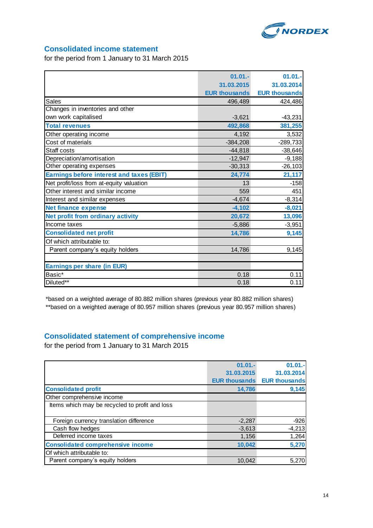

### **Consolidated income statement**

for the period from 1 January to 31 March 2015

| $01.01 -$            | $01.01 -$            |
|----------------------|----------------------|
| 31.03.2015           | 31.03.2014           |
| <b>EUR thousands</b> | <b>EUR thousands</b> |
| 496,489              | 424,486              |
|                      |                      |
| $-3,621$             | $-43,231$            |
| 492,868              | 381,255              |
| 4,192                | 3,532                |
| $-384,208$           | $-289,733$           |
| $-44,818$            | $-38,646$            |
| $-12,947$            | $-9,188$             |
| $-30,313$            | $-26,103$            |
| 24,774               | 21,117               |
| 13                   | $-158$               |
| 559                  | 451                  |
| $-4,674$             | $-8,314$             |
| $-4,102$             | $-8,021$             |
| 20,672               | 13,096               |
| $-5,886$             | $-3,951$             |
| 14,786               | 9,145                |
|                      |                      |
| 14,786               | 9,145                |
|                      |                      |
|                      |                      |
| 0.18                 | 0.11                 |
| 0.18                 | 0.11                 |
|                      |                      |

\*based on a weighted average of 80.882 million shares (previous year 80.882 million shares) \*\*based on a weighted average of 80.957 million shares (previous year 80.957 million shares)

## **Consolidated statement of comprehensive income**

for the period from 1 January to 31 March 2015

|                                                | $01.01 -$            | $01.01 -$            |
|------------------------------------------------|----------------------|----------------------|
|                                                | 31.03.2015           | 31.03.2014           |
|                                                | <b>EUR thousands</b> | <b>EUR thousands</b> |
| <b>Consolidated profit</b>                     | 14,786               | 9,145                |
| Other comprehensive income                     |                      |                      |
| Items which may be recycled to profit and loss |                      |                      |
|                                                |                      |                      |
| Foreign currency translation difference        | $-2,287$             | $-926$               |
| Cash flow hedges                               | $-3,613$             | $-4,213$             |
| Deferred income taxes                          | 1,156                | 1,264                |
| <b>Consolidated comprehensive income</b>       | 10,042               | 5,270                |
| Of which attributable to:                      |                      |                      |
| Parent company's equity holders                | 10.042               | 5,270                |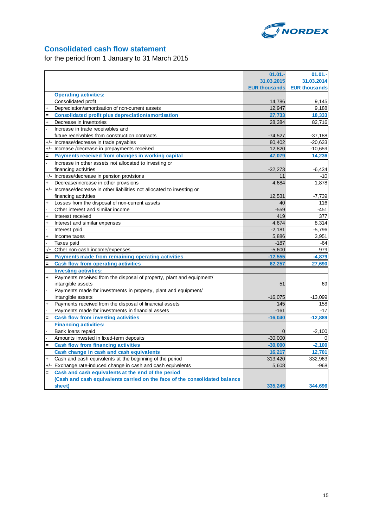

# **Consolidated cash flow statement**

for the period from 1 January to 31 March 2015

|           |                                                                            | $01.01 -$  | 01.01.                             |
|-----------|----------------------------------------------------------------------------|------------|------------------------------------|
|           |                                                                            | 31.03.2015 | 31.03.2014                         |
|           |                                                                            |            | <b>EUR thousands</b> EUR thousands |
|           | <b>Operating activities:</b>                                               |            |                                    |
|           | Consolidated profit                                                        | 14,786     | 9,145                              |
|           | Depreciation/amortisation of non-current assets                            | 12,947     | 9,188                              |
| $=$       | <b>Consolidated profit plus depreciation/amortisation</b>                  | 27,733     | 18,333                             |
| $\ddot{}$ | Decrease in inventories                                                    | 28.384     | 82,716                             |
|           | Increase in trade receivables and                                          |            |                                    |
|           | future receivables from construction contracts                             | $-74,527$  | $-37,188$                          |
| $+/-$     | Increase/decrease in trade payables                                        | 80.402     | $-20,633$                          |
|           | +/- Increase /decrease in prepayments received                             | 12,820     | $-10,659$                          |
|           | Payments received from changes in working capital                          | 47,079     | 14,236                             |
|           | Increase in other assets not allocated to investing or                     |            |                                    |
|           | financing activities                                                       | $-32,273$  | $-6,434$                           |
|           | +/- Increase/decrease in pension provisions                                | 11         | $-10$                              |
| $\ddot{}$ | Decrease/increase in other provisions                                      | 4,684      | 1,878                              |
|           | +/- Increase/decrease in other liabilities not allocated to investing or   |            |                                    |
|           | financing activities                                                       | 12,531     | $-7,739$                           |
| $\ddot{}$ | Losses from the disposal of non-current assets                             | 40         | 116                                |
|           | Other interest and similar income                                          | $-559$     | $-451$                             |
| $\ddot{}$ | Interest received                                                          | 419        | 377                                |
| $\ddot{}$ | Interest and similar expenses                                              | 4,674      | 8,314                              |
|           | Interest paid                                                              | $-2,181$   | $-5,796$                           |
| $\ddot{}$ | Income taxes                                                               | 5,886      | 3,951                              |
|           | Taxes paid                                                                 | $-187$     | $-64$                              |
| $-/+$     | Other non-cash income/expenses                                             | $-5,600$   | 979                                |
| $=$       | Payments made from remaining operating activities                          | $-12,555$  | $-4,879$                           |
| $=$       | <b>Cash flow from operating activities</b>                                 | 62,257     | 27,690                             |
|           | <b>Investing activities:</b>                                               |            |                                    |
| $+$       | Payments received from the disposal of property, plant and equipment/      |            |                                    |
|           | intangible assets                                                          | 51         | 69                                 |
|           | Payments made for investments in property, plant and equipment/            |            |                                    |
|           | intangible assets                                                          | $-16,075$  | $-13,099$                          |
|           | Payments received from the disposal of financial assets                    | 145        | 158                                |
|           | Payments made for investments in financial assets                          | $-161$     | $-17$                              |
|           | <b>Cash flow from investing activities</b>                                 | $-16,040$  | $-12,889$                          |
|           | <b>Financing activities:</b>                                               |            |                                    |
|           | Bank loans repaid                                                          | $\Omega$   | $-2,100$                           |
|           | Amounts invested in fixed-term deposits                                    | $-30,000$  |                                    |
| $\equiv$  | <b>Cash flow from financing activities</b>                                 | $-30,000$  | $-2,100$                           |
|           | Cash change in cash and cash equivalents                                   | 16,217     | 12,701                             |
|           | Cash and cash equivalents at the beginning of the period                   | 313,420    | 332,963                            |
|           | +/- Exchange rate-induced change in cash and cash equivalents              | 5,608      | $-968$                             |
|           | Cash and cash equivalents at the end of the period                         |            |                                    |
|           | (Cash and cash equivalents carried on the face of the consolidated balance |            |                                    |
|           | sheet)                                                                     | 335,245    | 344,696                            |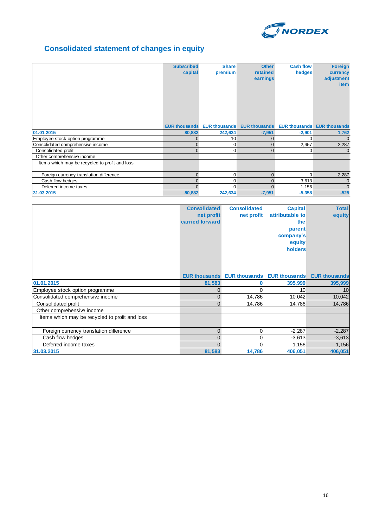

# **Consolidated statement of changes in equity**

|                                                | <b>Subscribed</b><br>capital | <b>Share</b><br>premium | <b>Other</b><br>retained<br>earnings                                  | <b>Cash flow</b><br>hedges | <b>Foreign</b><br>currency<br>adjustment<br><b>item</b> |
|------------------------------------------------|------------------------------|-------------------------|-----------------------------------------------------------------------|----------------------------|---------------------------------------------------------|
|                                                |                              |                         | EUR thousands EUR thousands EUR thousands EUR thousands EUR thousands |                            |                                                         |
| 01.01.2015                                     | 80,882                       | 242,624                 | $-7,951$                                                              | $-2,901$                   | 1,762                                                   |
| Employee stock option programme                | 0                            | 10                      | $\mathbf{0}$                                                          | 0                          | $\mathbf{0}$                                            |
| Consolidated comprehensive income              | $\Omega$                     | 0                       | $\mathbf{0}$                                                          | $-2,457$                   | $-2,287$                                                |
| Consolidated profit                            |                              | $\mathbf 0$             | $\Omega$                                                              | 0                          | $\mathbf 0$                                             |
| Other comprehensive income                     |                              |                         |                                                                       |                            |                                                         |
| Items which may be recycled to profit and loss |                              |                         |                                                                       |                            |                                                         |
| Foreign currency translation difference        | $\Omega$                     | $\mathbf 0$             | $\Omega$                                                              | $\Omega$                   | $-2,287$                                                |
| Cash flow hedges                               | $\Omega$                     | $\mathbf 0$             | 0                                                                     | $-3,613$                   | $\mathbf 0$                                             |
| Deferred income taxes                          |                              | $\Omega$                | $\Omega$                                                              | 1,156                      | $\Omega$                                                |
| 31.03.2015                                     | 80,882                       | 242,634                 | $-7,951$                                                              | $-5,358$                   | $-525$                                                  |

|                                                | <b>Consolidated</b> | <b>Consolidated</b>                              | <b>Capital</b>  | <b>Total</b>         |
|------------------------------------------------|---------------------|--------------------------------------------------|-----------------|----------------------|
|                                                | net profit          | net profit                                       | attributable to | equity               |
|                                                | carried forward     |                                                  | the             |                      |
|                                                |                     |                                                  | parent          |                      |
|                                                |                     |                                                  | company's       |                      |
|                                                |                     |                                                  | equity          |                      |
|                                                |                     |                                                  | holders         |                      |
|                                                |                     |                                                  |                 |                      |
|                                                |                     |                                                  |                 |                      |
|                                                |                     |                                                  |                 |                      |
|                                                |                     | <b>EUR thousands</b> EUR thousands EUR thousands |                 | <b>EUR thousands</b> |
| 01.01.2015                                     | 81,583              | 0                                                | 395,999         | 395,999              |
| Employee stock option programme                | 0                   | 0                                                | 10              | 10                   |
| Consolidated comprehensive income              | 0                   | 14,786                                           | 10,042          | 10,042               |
| Consolidated profit                            | $\Omega$            | 14,786                                           | 14,786          | 14,786               |
| Other comprehensive income                     |                     |                                                  |                 |                      |
| Items which may be recycled to profit and loss |                     |                                                  |                 |                      |
|                                                |                     |                                                  |                 |                      |
| Foreign currency translation difference        | $\mathbf 0$         | 0                                                | $-2,287$        | $-2,287$             |
| Cash flow hedges                               | 0                   | 0                                                | $-3,613$        | $-3,613$             |
| Deferred income taxes                          | $\Omega$            | $\Omega$                                         | 1,156           | 1,156                |
| 31.03.2015                                     | 81,583              | 14,786                                           | 406,051         | 406,051              |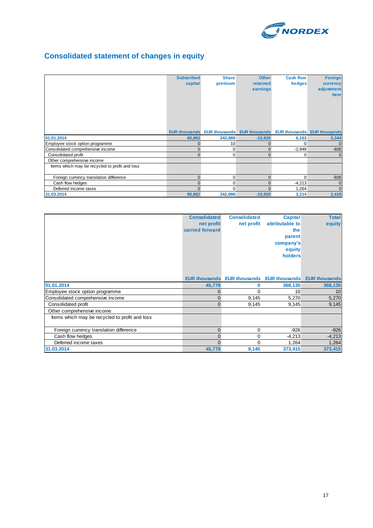

# **Consolidated statement of changes in equity**

|                                                | <b>Subscribed</b><br>capital | <b>Share</b><br>premium            | <b>Other</b><br>retained<br>earnings | <b>Cash flow</b><br>hedges         | <b>Foreign</b><br>currency<br>adjustment<br><b>item</b> |
|------------------------------------------------|------------------------------|------------------------------------|--------------------------------------|------------------------------------|---------------------------------------------------------|
|                                                |                              | <b>EUR thousands</b> EUR thousands |                                      | <b>EUR thousands</b> EUR thousands | <b>EUR thousands</b>                                    |
| 01.01.2014                                     | 80,882                       | 242,888                            | $-10,920$                            | 6,163                              | 3,344                                                   |
| Employee stock option programme                |                              | 10                                 | $\Omega$                             | $\Omega$                           | $\mathbf{0}$                                            |
| Consolidated comprehensive income              |                              | 0                                  | $\overline{0}$                       | $-2,949$                           | $-926$                                                  |
| Consolidated profit                            | $\Omega$                     | 0                                  | $\Omega$                             | 0                                  | $\Omega$                                                |
| Other comprehensive income                     |                              |                                    |                                      |                                    |                                                         |
| Items which may be recycled to profit and loss |                              |                                    |                                      |                                    |                                                         |
| Foreign currency translation difference        | $\Omega$                     | $\Omega$                           | $\overline{0}$                       | $\Omega$                           | $-926$                                                  |
| Cash flow hedges                               | $\Omega$                     | 0                                  | $\mathbf{0}$                         | $-4,213$                           | $\mathbf{0}$                                            |
| Deferred income taxes                          |                              | 0                                  | $\Omega$                             | 1,264                              | $\mathbf{0}$                                            |
| 31.03.2014                                     | 80,882                       | 242,898                            | $-10,920$                            | 3,214                              | 2,418                                                   |

|                                                | <b>Consolidated</b> | <b>Consolidated</b>                              | <b>Capital</b>  | <b>Total</b>         |
|------------------------------------------------|---------------------|--------------------------------------------------|-----------------|----------------------|
|                                                | net profit          | net profit                                       | attributable to | equity               |
|                                                | carried forward     |                                                  | the             |                      |
|                                                |                     |                                                  | parent          |                      |
|                                                |                     |                                                  | company's       |                      |
|                                                |                     |                                                  | equity          |                      |
|                                                |                     |                                                  | holders         |                      |
|                                                |                     |                                                  |                 |                      |
|                                                |                     |                                                  |                 |                      |
|                                                |                     |                                                  |                 |                      |
|                                                |                     | <b>EUR thousands</b> EUR thousands EUR thousands |                 | <b>EUR thousands</b> |
| 01.01.2014                                     | 45,778              | 0                                                | 368,135         | 368,135              |
| Employee stock option programme                | $\mathbf{0}$        | $\Omega$                                         | 10              | 10                   |
| Consolidated comprehensive income              | $\mathbf{0}$        | 9,145                                            | 5,270           | 5,270                |
| Consolidated profit                            | $\Omega$            | 9,145                                            | 9,145           | 9,145                |
| Other comprehensive income                     |                     |                                                  |                 |                      |
| Items which may be recycled to profit and loss |                     |                                                  |                 |                      |
|                                                |                     |                                                  |                 |                      |
| Foreign currency translation difference        | $\mathbf{0}$        | 0                                                | $-926$          | $-926$               |
| Cash flow hedges                               | $\mathbf{0}$        | 0                                                | $-4,213$        | $-4,213$             |
| Deferred income taxes                          | $\Omega$            | $\Omega$                                         | 1,264           | 1,264                |
| 31.03.2014                                     | 45,778              | 9,145                                            | 373,415         | 373,415              |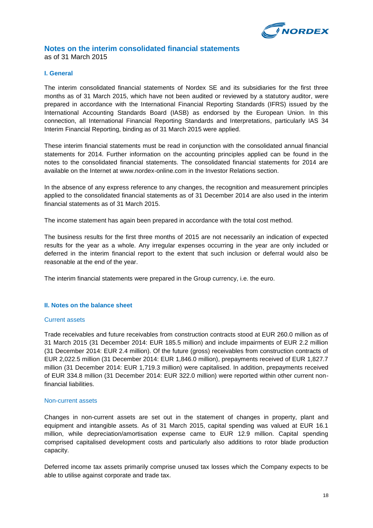

#### **Notes on the interim consolidated financial statements** as of 31 March 2015

#### **I. General**

The interim consolidated financial statements of Nordex SE and its subsidiaries for the first three months as of 31 March 2015, which have not been audited or reviewed by a statutory auditor, were prepared in accordance with the International Financial Reporting Standards (IFRS) issued by the International Accounting Standards Board (IASB) as endorsed by the European Union. In this connection, all International Financial Reporting Standards and Interpretations, particularly IAS 34 Interim Financial Reporting, binding as of 31 March 2015 were applied.

These interim financial statements must be read in conjunction with the consolidated annual financial statements for 2014. Further information on the accounting principles applied can be found in the notes to the consolidated financial statements. The consolidated financial statements for 2014 are available on the Internet at www.nordex-online.com in the Investor Relations section.

In the absence of any express reference to any changes, the recognition and measurement principles applied to the consolidated financial statements as of 31 December 2014 are also used in the interim financial statements as of 31 March 2015.

The income statement has again been prepared in accordance with the total cost method.

The business results for the first three months of 2015 are not necessarily an indication of expected results for the year as a whole. Any irregular expenses occurring in the year are only included or deferred in the interim financial report to the extent that such inclusion or deferral would also be reasonable at the end of the year.

The interim financial statements were prepared in the Group currency, i.e. the euro.

#### **II. Notes on the balance sheet**

#### Current assets

Trade receivables and future receivables from construction contracts stood at EUR 260.0 million as of 31 March 2015 (31 December 2014: EUR 185.5 million) and include impairments of EUR 2.2 million (31 December 2014: EUR 2.4 million). Of the future (gross) receivables from construction contracts of EUR 2,022.5 million (31 December 2014: EUR 1,846.0 million), prepayments received of EUR 1,827.7 million (31 December 2014: EUR 1,719.3 million) were capitalised. In addition, prepayments received of EUR 334.8 million (31 December 2014: EUR 322.0 million) were reported within other current nonfinancial liabilities.

#### Non-current assets

Changes in non-current assets are set out in the statement of changes in property, plant and equipment and intangible assets. As of 31 March 2015, capital spending was valued at EUR 16.1 million, while depreciation/amortisation expense came to EUR 12.9 million. Capital spending comprised capitalised development costs and particularly also additions to rotor blade production capacity.

Deferred income tax assets primarily comprise unused tax losses which the Company expects to be able to utilise against corporate and trade tax.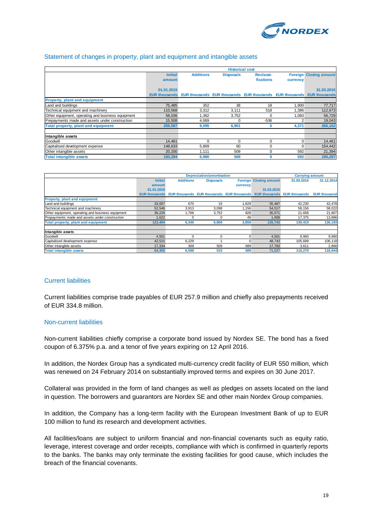

#### Statement of changes in property, plant and equipment and intangible assets

|                                                   | <b>Historical cost</b> |                                                                |                  |           |              |                               |
|---------------------------------------------------|------------------------|----------------------------------------------------------------|------------------|-----------|--------------|-------------------------------|
|                                                   | <b>Initial</b>         | <b>Additions</b>                                               | <b>Disposals</b> | Reclassi- |              | <b>Foreign Closing amount</b> |
|                                                   | amount                 |                                                                |                  | fications | currency     |                               |
|                                                   |                        |                                                                |                  |           |              |                               |
|                                                   | 01.01.2015             |                                                                |                  |           |              | 31.03.2015                    |
|                                                   | <b>EUR thousands</b>   | <b>EUR thousands EUR thousands EUR thousands EUR thousands</b> |                  |           |              | <b>EUR thousands</b>          |
| <b>Property, plant and equipment</b>              |                        |                                                                |                  |           |              |                               |
| Land and buildings                                | 75,485                 | 352                                                            | 38               | 18        | 1,900        | 77,717                        |
| Technical equipment and machinery                 | 110,568                | 3,312                                                          | 3,111            | 518       | 1.386        | 112,673                       |
| Other equipment, operating and business equipment | 58,036                 | 1,362                                                          | 3,752            | 0         | 1,083        | 56,729                        |
| Prepayments made and assets under construction    | 15,508                 | 4,069                                                          |                  | $-536$    |              | 19,043                        |
| Total property, plant and equipment               | 259,597                | 9,095                                                          | 6,901            | 0         | 4,371        | 266,162                       |
| Intangible assets                                 |                        |                                                                |                  |           |              |                               |
| Goodwill                                          | 14.461                 | $\Omega$                                                       | $\Omega$         | 0         | $\mathbf{0}$ | 14,461                        |
| Capitalised development expense                   | 148.633                | 5,869                                                          | 60               | 0         | $\Omega$     | 154,442                       |
| Other intangible assets                           | 20,200                 | 1.111                                                          | 509              | 0         | 592          | 21,394                        |
| <b>Total intangible assets</b>                    | 183,294                | 6,980                                                          | 569              | $\bf{0}$  | 592          | 190,297                       |

|                                                   |                |                  | Depreciation/amortisation |          |                                                                       | <b>Carrying amount</b> |                     |
|---------------------------------------------------|----------------|------------------|---------------------------|----------|-----------------------------------------------------------------------|------------------------|---------------------|
|                                                   | <b>Initial</b> | <b>Additions</b> | <b>Disposals</b>          |          | <b>Foreign Closing amount</b>                                         | 31.03.2015             | 31.12.2014          |
|                                                   | amount         |                  |                           | currency |                                                                       |                        |                     |
|                                                   | 01.01.2015     |                  |                           |          | 31.03.2015                                                            |                        |                     |
|                                                   |                |                  |                           |          | EUR thousands EUR thousands EUR thousands EUR thousands EUR thousands | <b>EUR thousands</b>   | <b>EUR thousand</b> |
| <b>Property, plant and equipment</b>              |                |                  |                           |          |                                                                       |                        |                     |
| Land and buildings                                | 33,007         | 670              | 19                        | 1,829    | 35,487                                                                | 42.230                 | 42,478              |
| Technical equipment and machinery                 | 52,546         | 3,913            | 3.098                     | 1.156    | 54,517                                                                | 58,156                 | 58,022              |
| Other equipment, operating and business equipment | 36,229         | 1.766            | 3,752                     | 828      | 35,071                                                                | 21.658                 | 21,807              |
| Prepayments made and assets under construction    | 1.622          |                  | C                         | 46       | 1.668                                                                 | 17.375                 | 13,886              |
| Total property, plant and equipment               | 123,404        | 6,349            | 6,869                     | 3,859    | 126,743                                                               | 139,419                | 136,193             |
| Intangible assets                                 |                |                  |                           |          |                                                                       |                        |                     |
| Goodwill                                          | 4,501          |                  |                           |          | 4,501                                                                 | 9,960                  | 9,960               |
| Capitalised development expense                   | 42.515         | 6,229            |                           |          | 48.743                                                                | 105.699                | 106,118             |
| Other intangible assets                           | 17,334         | 369              | 509                       | 589      | 17,783                                                                | 3,611                  | 2,866               |
| <b>Total intangible assets</b>                    | 64,350         | 6,598            | 510                       | 589      | 71,027                                                                | 119,270                | 118,944             |

#### Current liabilities

Current liabilities comprise trade payables of EUR 257.9 million and chiefly also prepayments received of EUR 334.8 million.

#### Non-current liabilities

Non-current liabilities chiefly comprise a corporate bond issued by Nordex SE. The bond has a fixed coupon of 6.375% p.a. and a tenor of five years expiring on 12 April 2016.

In addition, the Nordex Group has a syndicated multi-currency credit facility of EUR 550 million, which was renewed on 24 February 2014 on substantially improved terms and expires on 30 June 2017.

Collateral was provided in the form of land changes as well as pledges on assets located on the land in question. The borrowers and guarantors are Nordex SE and other main Nordex Group companies.

In addition, the Company has a long-term facility with the European Investment Bank of up to EUR 100 million to fund its research and development activities.

All facilities/loans are subject to uniform financial and non-financial covenants such as equity ratio, leverage, interest coverage and order receipts, compliance with which is confirmed in quarterly reports to the banks. The banks may only terminate the existing facilities for good cause, which includes the breach of the financial covenants.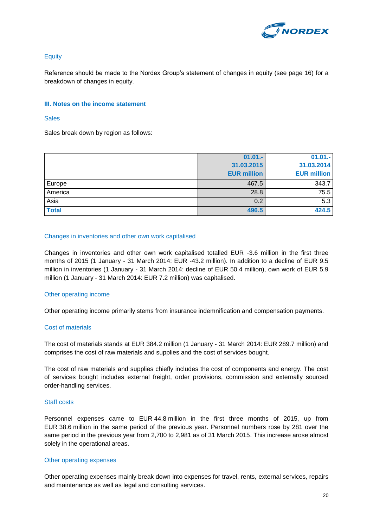

### **Equity**

Reference should be made to the Nordex Group's statement of changes in equity (see page 16) for a breakdown of changes in equity.

#### **III. Notes on the income statement**

#### **Sales**

Sales break down by region as follows:

|              | $01.01 -$          | $01.01 -$          |
|--------------|--------------------|--------------------|
|              | 31.03.2015         | 31.03.2014         |
|              | <b>EUR million</b> | <b>EUR million</b> |
| Europe       | 467.5              | 343.7              |
| America      | 28.8               | 75.5               |
| Asia         | 0.2                | 5.3                |
| <b>Total</b> | 496.5              | 424.5              |

#### Changes in inventories and other own work capitalised

Changes in inventories and other own work capitalised totalled EUR -3.6 million in the first three months of 2015 (1 January - 31 March 2014: EUR -43.2 million). In addition to a decline of EUR 9.5 million in inventories (1 January - 31 March 2014: decline of EUR 50.4 million), own work of EUR 5.9 million (1 January - 31 March 2014: EUR 7.2 million) was capitalised.

#### Other operating income

Other operating income primarily stems from insurance indemnification and compensation payments.

#### Cost of materials

The cost of materials stands at EUR 384.2 million (1 January - 31 March 2014: EUR 289.7 million) and comprises the cost of raw materials and supplies and the cost of services bought.

The cost of raw materials and supplies chiefly includes the cost of components and energy. The cost of services bought includes external freight, order provisions, commission and externally sourced order-handling services.

#### Staff costs

Personnel expenses came to EUR 44.8 million in the first three months of 2015, up from EUR 38.6 million in the same period of the previous year. Personnel numbers rose by 281 over the same period in the previous year from 2,700 to 2,981 as of 31 March 2015. This increase arose almost solely in the operational areas.

#### Other operating expenses

Other operating expenses mainly break down into expenses for travel, rents, external services, repairs and maintenance as well as legal and consulting services.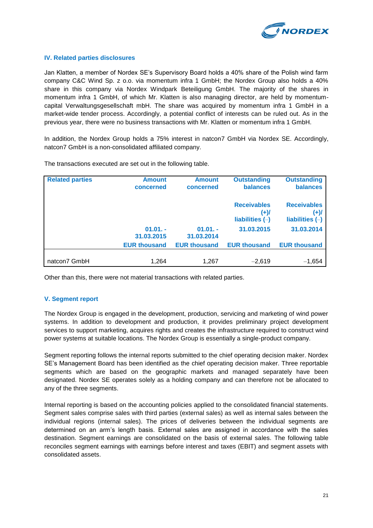

#### **IV. Related parties disclosures**

Jan Klatten, a member of Nordex SE's Supervisory Board holds a 40% share of the Polish wind farm company C&C Wind Sp. z o.o. via momentum infra 1 GmbH; the Nordex Group also holds a 40% share in this company via Nordex Windpark Beteiligung GmbH. The majority of the shares in momentum infra 1 GmbH, of which Mr. Klatten is also managing director, are held by momentumcapital Verwaltungsgesellschaft mbH. The share was acquired by momentum infra 1 GmbH in a market-wide tender process. Accordingly, a potential conflict of interests can be ruled out. As in the previous year, there were no business transactions with Mr. Klatten or momentum infra 1 GmbH.

In addition, the Nordex Group holds a 75% interest in natcon7 GmbH via Nordex SE. Accordingly, natcon7 GmbH is a non-consolidated affiliated company.

| <b>Related parties</b> | <b>Amount</b><br>concerned | <b>Amount</b><br>concerned | <b>Outstanding</b><br><b>balances</b>           | <b>Outstanding</b><br>balances                  |
|------------------------|----------------------------|----------------------------|-------------------------------------------------|-------------------------------------------------|
|                        |                            |                            | <b>Receivables</b><br>(+)/<br>liabilities $(-)$ | <b>Receivables</b><br>(+)/<br>liabilities $(-)$ |
|                        | $01.01. -$<br>31.03.2015   | $01.01. -$<br>31.03.2014   | 31.03.2015                                      | 31.03.2014                                      |
|                        | <b>EUR thousand</b>        | <b>EUR thousand</b>        | <b>EUR thousand</b>                             | <b>EUR thousand</b>                             |
| natcon7 GmbH           | 1,264                      | 1,267                      | $-2.619$                                        | $-1,654$                                        |

The transactions executed are set out in the following table.

Other than this, there were not material transactions with related parties.

#### **V. Segment report**

The Nordex Group is engaged in the development, production, servicing and marketing of wind power systems. In addition to development and production, it provides preliminary project development services to support marketing, acquires rights and creates the infrastructure required to construct wind power systems at suitable locations. The Nordex Group is essentially a single-product company.

Segment reporting follows the internal reports submitted to the chief operating decision maker. Nordex SE's Management Board has been identified as the chief operating decision maker. Three reportable segments which are based on the geographic markets and managed separately have been designated. Nordex SE operates solely as a holding company and can therefore not be allocated to any of the three segments.

Internal reporting is based on the accounting policies applied to the consolidated financial statements. Segment sales comprise sales with third parties (external sales) as well as internal sales between the individual regions (internal sales). The prices of deliveries between the individual segments are determined on an arm's length basis. External sales are assigned in accordance with the sales destination. Segment earnings are consolidated on the basis of external sales. The following table reconciles segment earnings with earnings before interest and taxes (EBIT) and segment assets with consolidated assets.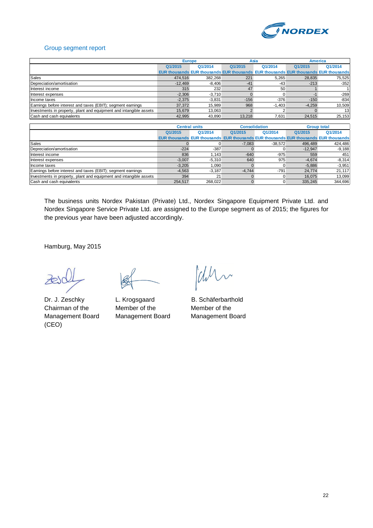

#### Group segment report

|                                                                    | <b>Europe</b> |          | Asia                                                                                       |          | <b>America</b> |                 |
|--------------------------------------------------------------------|---------------|----------|--------------------------------------------------------------------------------------------|----------|----------------|-----------------|
|                                                                    | Q1/2015       | Q1/2014  | Q1/2015                                                                                    | Q1/2014  | Q1/2015        | Q1/2014         |
|                                                                    |               |          | <b>EUR thousands EUR thousands EUR thousands EUR thousands EUR thousands EUR thousands</b> |          |                |                 |
| <b>Sales</b>                                                       | 474.516       | 382.268  | 221                                                                                        | 5.265    | 28.835         | 75,525          |
| Depreciation/amortisation                                          | $-12.469$     | $-8.406$ | $-41$                                                                                      | -43      | $-213$         | $-352$          |
| Interest income                                                    | 315           | 232      | 47                                                                                         | 50       |                |                 |
| Interest expenses                                                  | $-2,306$      | $-3.710$ |                                                                                            |          |                | $-269$          |
| Income taxes                                                       | $-2.375$      | $-3.831$ | $-156$                                                                                     | $-376$   | $-150$         | $-834$          |
| Earnings before interest and taxes (EBIT); segment earnings        | 37.372        | 15.989   | 968                                                                                        | $-1.403$ | $-4,259$       | 10,509          |
| Investments in property, plant and equipment and intangible assets | 15.679        | 13.063   |                                                                                            |          |                | 13 <sup>1</sup> |
| Cash and cash equivalents                                          | 42,995        | 43,890   | 13.218                                                                                     | 7,631    | 24,515         | 25,153          |

|                                                                    | <b>Central units</b> |          | <b>Consolidation</b>                                                                |           |           | <b>Group total</b> |
|--------------------------------------------------------------------|----------------------|----------|-------------------------------------------------------------------------------------|-----------|-----------|--------------------|
|                                                                    | Q1/2015              | Q1/2014  | Q1/2015                                                                             | Q1/2014   | Q1/2015   | Q1/2014            |
|                                                                    |                      |          | EUR thousands EUR thousands EUR thousands EUR thousands EUR thousands EUR thousands |           |           |                    |
| <b>Sales</b>                                                       |                      |          | $-7,083$                                                                            | $-38.572$ | 496.489   | 424,486            |
| Depreciation/amortisation                                          | $-224$               | $-387$   |                                                                                     |           | $-12,947$ | $-9,188$           |
| Interest income                                                    | 836                  | .143     | $-640$                                                                              | $-975$    | 559       | 451                |
| Interest expenses                                                  | $-3.007$             | $-5.310$ | 640                                                                                 | 975       | $-4.674$  | $-8,314$           |
| Income taxes                                                       | $-3.205$             | .090     |                                                                                     |           | $-5.886$  | $-3,951$           |
| Earnings before interest and taxes (EBIT); segment earnings        | $-4.563$             | $-3.187$ | $-4.744$                                                                            | $-791$    | 24.774    | 21,117             |
| Investments in property, plant and equipment and intangible assets | 394                  | 21       |                                                                                     |           | 16.075    | 13,099             |
| Cash and cash equivalents                                          | 254.517              | 268.022  |                                                                                     |           | 335,245   | 344,696            |

The business units Nordex Pakistan (Private) Ltd., Nordex Singapore Equipment Private Ltd. and Nordex Singapore Service Private Ltd. are assigned to the Europe segment as of 2015; the figures for the previous year have been adjusted accordingly.

Hamburg, May 2015

Management Board Management Board Management Board (CEO)

Chairman of the Member of the Member of the

Wh.

Dr. J. Zeschky L. Krogsgaard B. Schäferbarthold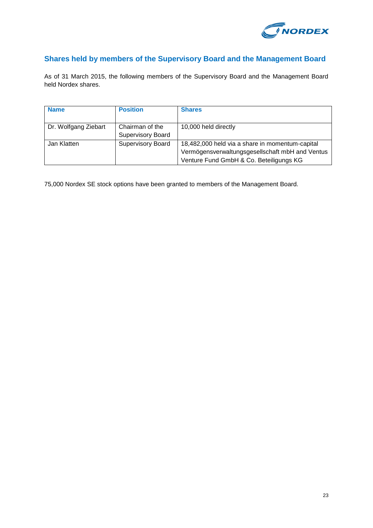

## **Shares held by members of the Supervisory Board and the Management Board**

As of 31 March 2015, the following members of the Supervisory Board and the Management Board held Nordex shares.

| <b>Name</b>          | <b>Position</b>          | <b>Shares</b>                                   |
|----------------------|--------------------------|-------------------------------------------------|
|                      |                          |                                                 |
| Dr. Wolfgang Ziebart | Chairman of the          | 10,000 held directly                            |
|                      | <b>Supervisory Board</b> |                                                 |
| Jan Klatten          | <b>Supervisory Board</b> | 18,482,000 held via a share in momentum-capital |
|                      |                          | Vermögensverwaltungsgesellschaft mbH and Ventus |
|                      |                          | Venture Fund GmbH & Co. Beteiligungs KG         |

75,000 Nordex SE stock options have been granted to members of the Management Board.